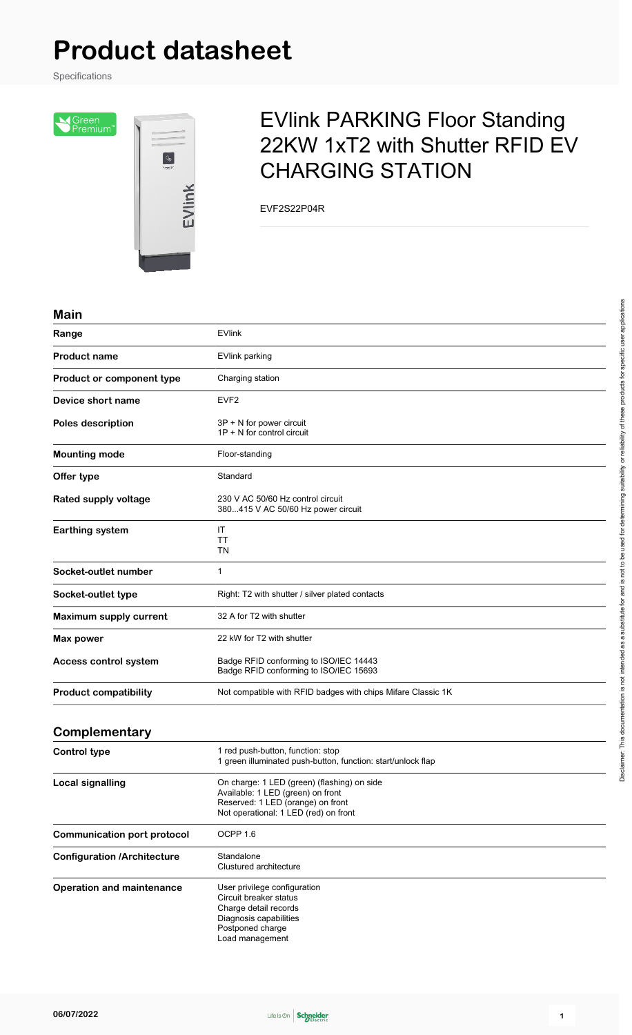# **Product datasheet**

Specifications

SGreen<br>Premium<sup>®</sup>



## EVlink PARKING Floor Standing 22KW 1xT2 with Shutter RFID EV CHARGING STATION

EVF2S22P04R

#### **Main**

| Range                              | <b>EVlink</b>                                                                                                                                                  |
|------------------------------------|----------------------------------------------------------------------------------------------------------------------------------------------------------------|
| <b>Product name</b>                | <b>EVlink parking</b>                                                                                                                                          |
| Product or component type          | Charging station                                                                                                                                               |
| Device short name                  | EVF <sub>2</sub>                                                                                                                                               |
| <b>Poles description</b>           | 3P + N for power circuit<br>$1P + N$ for control circuit                                                                                                       |
| <b>Mounting mode</b>               | Floor-standing                                                                                                                                                 |
| Offer type                         | Standard                                                                                                                                                       |
| <b>Rated supply voltage</b>        | 230 V AC 50/60 Hz control circuit<br>380415 V AC 50/60 Hz power circuit                                                                                        |
| <b>Earthing system</b>             | IT<br>ТT<br>TN                                                                                                                                                 |
| Socket-outlet number               | $\mathbf 1$                                                                                                                                                    |
| Socket-outlet type                 | Right: T2 with shutter / silver plated contacts                                                                                                                |
| Maximum supply current             | 32 A for T2 with shutter                                                                                                                                       |
| Max power                          | 22 kW for T2 with shutter                                                                                                                                      |
| Access control system              | Badge RFID conforming to ISO/IEC 14443<br>Badge RFID conforming to ISO/IEC 15693                                                                               |
| <b>Product compatibility</b>       | Not compatible with RFID badges with chips Mifare Classic 1K                                                                                                   |
| Complementary                      |                                                                                                                                                                |
| <b>Control type</b>                | 1 red push-button, function: stop<br>1 green illuminated push-button, function: start/unlock flap                                                              |
| <b>Local signalling</b>            | On charge: 1 LED (green) (flashing) on side<br>Available: 1 LED (green) on front<br>Reserved: 1 LED (orange) on front<br>Not operational: 1 LED (red) on front |
| <b>Communication port protocol</b> | OCPP 1.6                                                                                                                                                       |
| <b>Configuration /Architecture</b> | Standalone<br>Clustured architecture                                                                                                                           |
| <b>Operation and maintenance</b>   | User privilege configuration<br>Circuit breaker status<br>Charge detail records<br>Diagnosis capabilities<br>Postponed charge<br>Load management               |